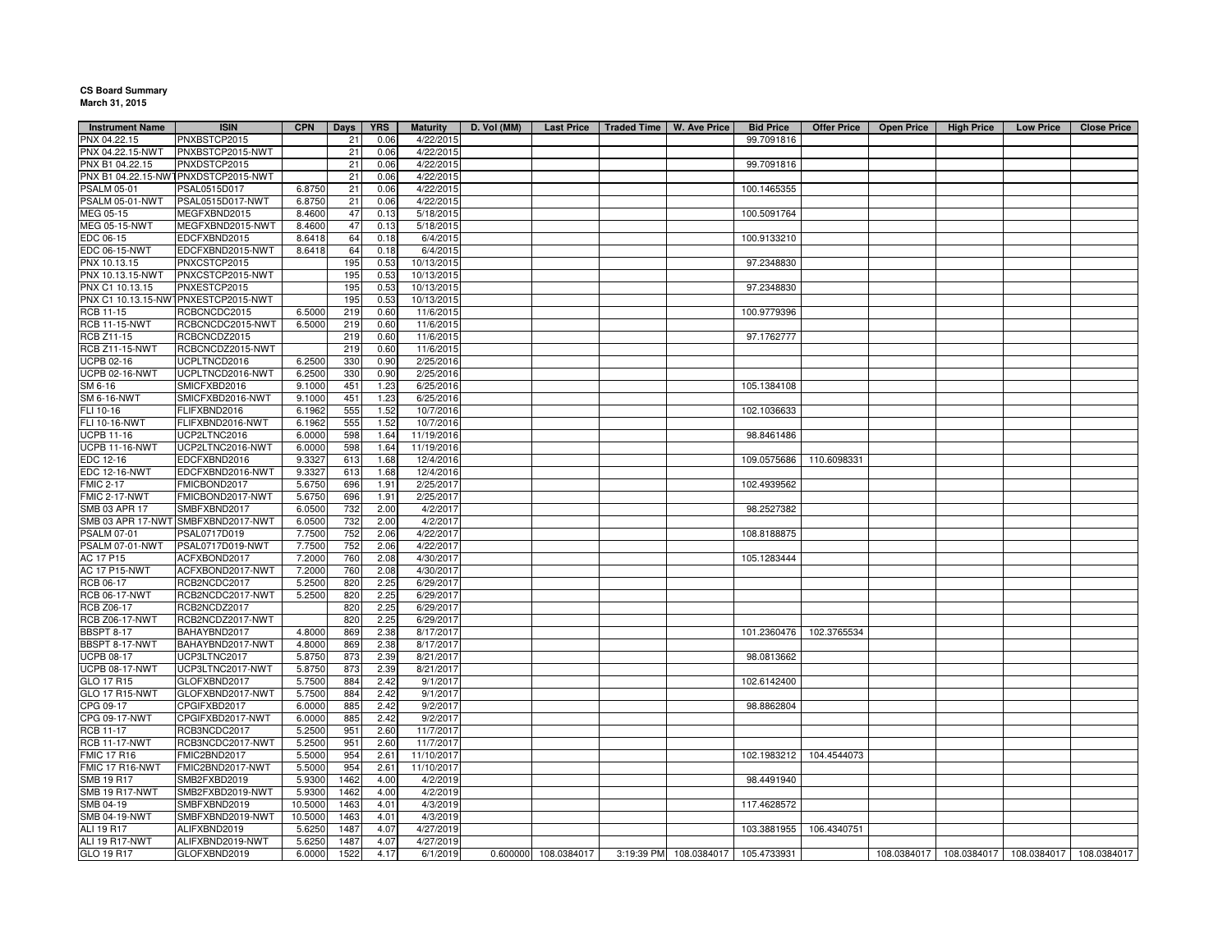## **CS Board Summary March 31, 2015**

| <b>Instrument Name</b> | <b>ISIN</b>                         | <b>CPN</b> | Days | <b>YRS</b> | <b>Maturity</b> | D. Vol (MM) |                      | Last Price   Traded Time   W. Ave Price |                                    | <b>Bid Price</b> | <b>Offer Price</b> | <b>Open Price</b> | <b>High Price</b>                                     | <b>Low Price</b> | <b>Close Price</b> |
|------------------------|-------------------------------------|------------|------|------------|-----------------|-------------|----------------------|-----------------------------------------|------------------------------------|------------------|--------------------|-------------------|-------------------------------------------------------|------------------|--------------------|
| PNX 04.22.15           | PNXBSTCP2015                        |            | 21   | 0.06       | 4/22/2015       |             |                      |                                         |                                    | 99.7091816       |                    |                   |                                                       |                  |                    |
| PNX 04.22.15-NWT       | PNXBSTCP2015-NWT                    |            | 21   | 0.06       | 4/22/2015       |             |                      |                                         |                                    |                  |                    |                   |                                                       |                  |                    |
| PNX B1 04.22.15        | PNXDSTCP2015                        |            | 21   | 0.06       | 4/22/2015       |             |                      |                                         |                                    | 99.7091816       |                    |                   |                                                       |                  |                    |
|                        | PNX B1 04.22.15-NWTPNXDSTCP2015-NWT |            | 21   | 0.06       | 4/22/2015       |             |                      |                                         |                                    |                  |                    |                   |                                                       |                  |                    |
| <b>PSALM 05-01</b>     | PSAL0515D017                        | 6.8750     | 21   | 0.06       | 4/22/2015       |             |                      |                                         |                                    | 100.1465355      |                    |                   |                                                       |                  |                    |
| PSALM 05-01-NWT        | PSAL0515D017-NWT                    | 6.8750     | 21   | 0.06       | 4/22/2015       |             |                      |                                         |                                    |                  |                    |                   |                                                       |                  |                    |
| MEG 05-15              | MEGFXBND2015                        | 8.4600     | 47   | 0.13       | 5/18/2015       |             |                      |                                         |                                    | 100.5091764      |                    |                   |                                                       |                  |                    |
| MEG 05-15-NWT          | MEGFXBND2015-NWT                    | 8.4600     | 47   | 0.13       | 5/18/2015       |             |                      |                                         |                                    |                  |                    |                   |                                                       |                  |                    |
| EDC 06-15              | EDCFXBND2015                        | 8.6418     | 64   | 0.18       | 6/4/2015        |             |                      |                                         |                                    | 100.9133210      |                    |                   |                                                       |                  |                    |
| EDC 06-15-NWT          | EDCFXBND2015-NWT                    | 8.6418     | 64   | 0.18       | 6/4/2015        |             |                      |                                         |                                    |                  |                    |                   |                                                       |                  |                    |
| PNX 10.13.15           | PNXCSTCP2015                        |            | 195  | 0.53       | 10/13/2015      |             |                      |                                         |                                    | 97.2348830       |                    |                   |                                                       |                  |                    |
|                        |                                     |            |      |            |                 |             |                      |                                         |                                    |                  |                    |                   |                                                       |                  |                    |
| PNX 10.13.15-NWT       | PNXCSTCP2015-NWT                    |            | 195  | 0.53       | 10/13/2015      |             |                      |                                         |                                    |                  |                    |                   |                                                       |                  |                    |
| PNX C1 10.13.15        | PNXESTCP2015                        |            | 195  | 0.53       | 10/13/2015      |             |                      |                                         |                                    | 97.2348830       |                    |                   |                                                       |                  |                    |
|                        | PNX C1 10.13.15-NWTPNXESTCP2015-NWT |            | 195  | 0.53       | 10/13/2015      |             |                      |                                         |                                    |                  |                    |                   |                                                       |                  |                    |
| RCB 11-15              | RCBCNCDC2015                        | 6.5000     | 219  | 0.60       | 11/6/2015       |             |                      |                                         |                                    | 100.9779396      |                    |                   |                                                       |                  |                    |
| <b>RCB 11-15-NWT</b>   | RCBCNCDC2015-NWT                    | 6.5000     | 219  | 0.60       | 11/6/2015       |             |                      |                                         |                                    |                  |                    |                   |                                                       |                  |                    |
| RCB Z11-15             | RCBCNCDZ2015                        |            | 219  | 0.60       | 11/6/2015       |             |                      |                                         |                                    | 97.1762777       |                    |                   |                                                       |                  |                    |
| <b>RCB Z11-15-NWT</b>  | RCBCNCDZ2015-NWT                    |            | 219  | 0.60       | 11/6/2015       |             |                      |                                         |                                    |                  |                    |                   |                                                       |                  |                    |
| UCPB 02-16             | UCPLTNCD2016                        | 6.2500     | 330  | 0.90       | 2/25/2016       |             |                      |                                         |                                    |                  |                    |                   |                                                       |                  |                    |
| <b>UCPB 02-16-NWT</b>  | UCPLTNCD2016-NWT                    | 6.2500     | 330  | 0.90       | 2/25/2016       |             |                      |                                         |                                    |                  |                    |                   |                                                       |                  |                    |
| SM 6-16                | SMICFXBD2016                        | 9.1000     | 451  | 1.23       | 6/25/2016       |             |                      |                                         |                                    | 105.1384108      |                    |                   |                                                       |                  |                    |
| <b>SM 6-16-NWT</b>     | SMICFXBD2016-NWT                    | 9.1000     | 451  | 1.23       | 6/25/2016       |             |                      |                                         |                                    |                  |                    |                   |                                                       |                  |                    |
| FLI 10-16              | FLIFXBND2016                        | 6.1962     | 555  | 1.52       | 10/7/2016       |             |                      |                                         |                                    | 102.1036633      |                    |                   |                                                       |                  |                    |
| FLI 10-16-NWT          | FLIFXBND2016-NWT                    | 6.1962     | 555  | 1.52       | 10/7/2016       |             |                      |                                         |                                    |                  |                    |                   |                                                       |                  |                    |
| <b>UCPB 11-16</b>      | UCP2LTNC2016                        | 6.0000     | 598  | 1.64       | 11/19/2016      |             |                      |                                         |                                    | 98.8461486       |                    |                   |                                                       |                  |                    |
| <b>UCPB 11-16-NWT</b>  | UCP2LTNC2016-NWT                    | 6.0000     | 598  | 1.64       | 11/19/2016      |             |                      |                                         |                                    |                  |                    |                   |                                                       |                  |                    |
|                        |                                     |            |      |            |                 |             |                      |                                         |                                    |                  |                    |                   |                                                       |                  |                    |
| EDC 12-16              | EDCFXBND2016                        | 9.3327     | 613  | 1.68       | 12/4/2016       |             |                      |                                         |                                    | 109.0575686      | 110.6098331        |                   |                                                       |                  |                    |
| <b>EDC 12-16-NWT</b>   | EDCFXBND2016-NWT                    | 9.3327     | 613  | 1.68       | 12/4/2016       |             |                      |                                         |                                    |                  |                    |                   |                                                       |                  |                    |
| <b>FMIC 2-17</b>       | FMICBOND2017                        | 5.6750     | 696  | 1.91       | 2/25/2017       |             |                      |                                         |                                    | 102.4939562      |                    |                   |                                                       |                  |                    |
| FMIC 2-17-NWT          | FMICBOND2017-NWT                    | 5.6750     | 696  | 1.91       | 2/25/2017       |             |                      |                                         |                                    |                  |                    |                   |                                                       |                  |                    |
| SMB 03 APR 17          | SMBFXBND2017                        | 6.0500     | 732  | 2.00       | 4/2/2017        |             |                      |                                         |                                    | 98.2527382       |                    |                   |                                                       |                  |                    |
|                        | SMB 03 APR 17-NWT SMBFXBND2017-NWT  | 6.0500     | 732  | 2.00       | 4/2/2017        |             |                      |                                         |                                    |                  |                    |                   |                                                       |                  |                    |
| <b>PSALM 07-01</b>     | PSAL0717D019                        | 7.7500     | 752  | 2.06       | 4/22/2017       |             |                      |                                         |                                    | 108.8188875      |                    |                   |                                                       |                  |                    |
| PSALM 07-01-NWT        | PSAL0717D019-NWT                    | 7.7500     | 752  | 2.06       | 4/22/2017       |             |                      |                                         |                                    |                  |                    |                   |                                                       |                  |                    |
| AC 17 P15              | ACFXBOND2017                        | 7.2000     | 760  | 2.08       | 4/30/2017       |             |                      |                                         |                                    | 105.1283444      |                    |                   |                                                       |                  |                    |
| AC 17 P15-NWT          | ACFXBOND2017-NWT                    | 7.2000     | 760  | 2.08       | 4/30/2017       |             |                      |                                         |                                    |                  |                    |                   |                                                       |                  |                    |
| RCB 06-17              | RCB2NCDC2017                        | 5.2500     | 820  | 2.25       | 6/29/2017       |             |                      |                                         |                                    |                  |                    |                   |                                                       |                  |                    |
| <b>RCB 06-17-NWT</b>   | RCB2NCDC2017-NWT                    | 5.2500     | 820  | 2.25       | 6/29/2017       |             |                      |                                         |                                    |                  |                    |                   |                                                       |                  |                    |
| <b>RCB Z06-17</b>      | RCB2NCDZ2017                        |            | 820  | 2.25       | 6/29/2017       |             |                      |                                         |                                    |                  |                    |                   |                                                       |                  |                    |
| <b>RCB Z06-17-NWT</b>  | RCB2NCDZ2017-NWT                    |            | 820  | 2.25       | 6/29/2017       |             |                      |                                         |                                    |                  |                    |                   |                                                       |                  |                    |
| <b>BBSPT 8-17</b>      | BAHAYBND2017                        | 4.8000     | 869  | 2.38       | 8/17/2017       |             |                      |                                         |                                    | 101.2360476      | 102.3765534        |                   |                                                       |                  |                    |
| BBSPT 8-17-NWT         | BAHAYBND2017-NWT                    | 4.8000     | 869  | 2.38       | 8/17/2017       |             |                      |                                         |                                    |                  |                    |                   |                                                       |                  |                    |
| <b>UCPB 08-17</b>      | UCP3LTNC2017                        | 5.8750     | 873  | 2.39       | 8/21/2017       |             |                      |                                         |                                    | 98.0813662       |                    |                   |                                                       |                  |                    |
|                        |                                     |            |      |            |                 |             |                      |                                         |                                    |                  |                    |                   |                                                       |                  |                    |
| <b>UCPB 08-17-NWT</b>  | UCP3LTNC2017-NWT                    | 5.8750     | 873  | 2.39       | 8/21/2017       |             |                      |                                         |                                    |                  |                    |                   |                                                       |                  |                    |
| GLO 17 R15             | GLOFXBND2017                        | 5.7500     | 884  | 2.42       | 9/1/2017        |             |                      |                                         |                                    | 102.6142400      |                    |                   |                                                       |                  |                    |
| GLO 17 R15-NWT         | GLOFXBND2017-NWT                    | 5.7500     | 884  | 2.42       | 9/1/2017        |             |                      |                                         |                                    |                  |                    |                   |                                                       |                  |                    |
| CPG 09-17              | CPGIFXBD2017                        | 6.0000     | 885  | 2.42       | 9/2/2017        |             |                      |                                         |                                    | 98.8862804       |                    |                   |                                                       |                  |                    |
| CPG 09-17-NWT          | CPGIFXBD2017-NWT                    | 6.0000     | 885  | 2.42       | 9/2/2017        |             |                      |                                         |                                    |                  |                    |                   |                                                       |                  |                    |
| RCB 11-17              | RCB3NCDC2017                        | 5.2500     | 951  | 2.60       | 11/7/2017       |             |                      |                                         |                                    |                  |                    |                   |                                                       |                  |                    |
| <b>RCB 11-17-NWT</b>   | RCB3NCDC2017-NWT                    | 5.2500     | 951  | 2.60       | 11/7/2017       |             |                      |                                         |                                    |                  |                    |                   |                                                       |                  |                    |
| <b>FMIC 17 R16</b>     | FMIC2BND2017                        | 5.5000     | 954  | 2.61       | 11/10/2017      |             |                      |                                         |                                    | 102.1983212      | 104.4544073        |                   |                                                       |                  |                    |
| FMIC 17 R16-NWT        | FMIC2BND2017-NWT                    | 5.5000     | 954  | 2.61       | 11/10/2017      |             |                      |                                         |                                    |                  |                    |                   |                                                       |                  |                    |
| <b>SMB 19 R17</b>      | SMB2FXBD2019                        | 5.9300     | 1462 | 4.00       | 4/2/2019        |             |                      |                                         |                                    | 98.4491940       |                    |                   |                                                       |                  |                    |
| <b>SMB 19 R17-NWT</b>  | SMB2FXBD2019-NWT                    | 5.9300     | 1462 | 4.00       | 4/2/2019        |             |                      |                                         |                                    |                  |                    |                   |                                                       |                  |                    |
| SMB 04-19              | SMBFXBND2019                        | 10.5000    | 1463 | 4.01       | 4/3/2019        |             |                      |                                         |                                    | 117.4628572      |                    |                   |                                                       |                  |                    |
| <b>SMB 04-19-NWT</b>   | SMBFXBND2019-NWT                    | 10.5000    | 1463 | 4.01       | 4/3/2019        |             |                      |                                         |                                    |                  |                    |                   |                                                       |                  |                    |
| <b>ALI 19 R17</b>      | ALIFXBND2019                        | 5.6250     | 1487 | 4.07       | 4/27/2019       |             |                      |                                         |                                    | 103.3881955      | 106.4340751        |                   |                                                       |                  |                    |
| ALI 19 R17-NWT         |                                     |            |      |            |                 |             |                      |                                         |                                    |                  |                    |                   |                                                       |                  |                    |
|                        | ALIFXBND2019-NWT                    | 5.6250     | 1487 | 4.07       | 4/27/2019       |             |                      |                                         |                                    |                  |                    |                   |                                                       |                  |                    |
| GLO 19 R17             | GLOFXBND2019                        | 6.0000     | 1522 | 4.17       | 6/1/2019        |             | 0.600000 108.0384017 |                                         | 3:19:39 PM 108.0384017 105.4733931 |                  |                    |                   | 108.0384017   108.0384017   108.0384017   108.0384017 |                  |                    |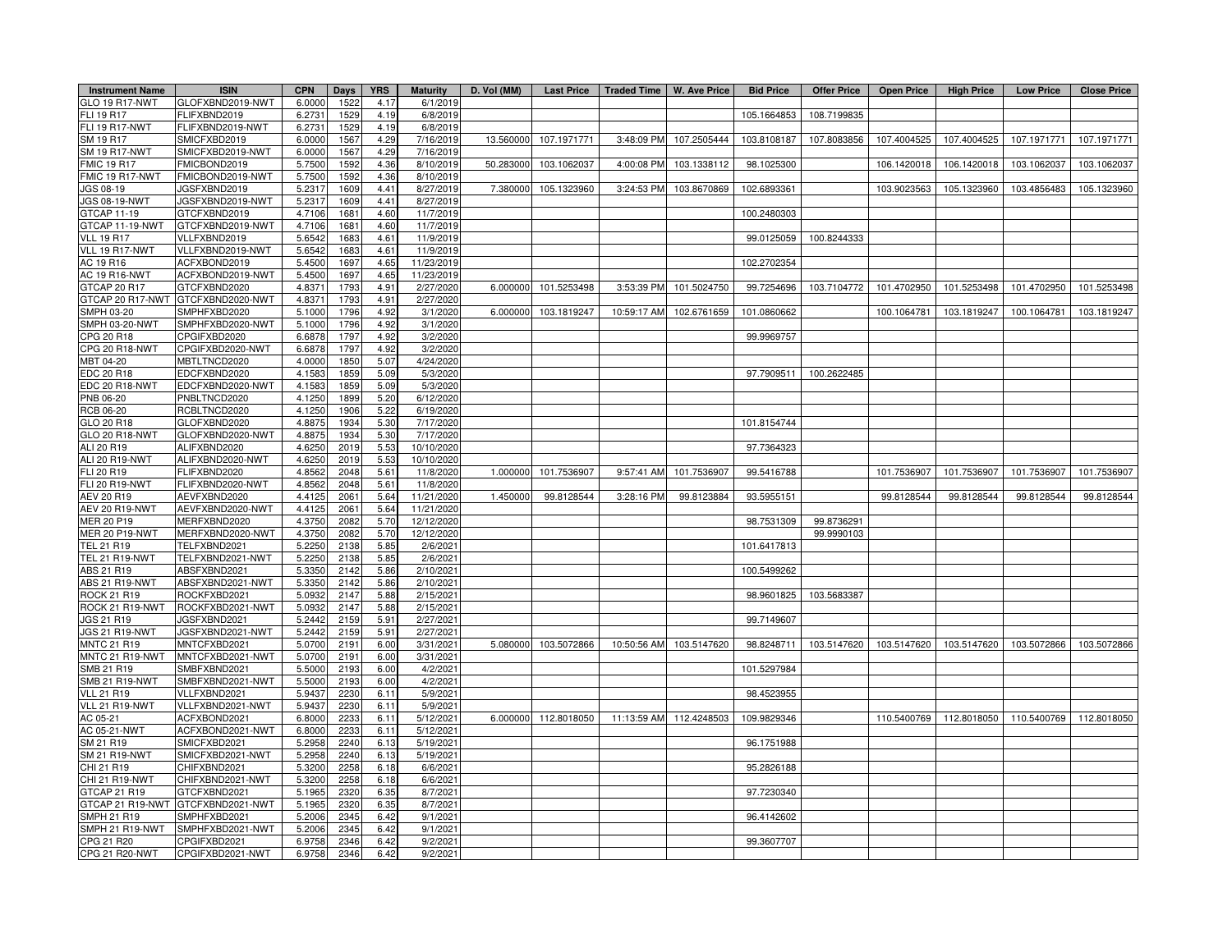| <b>Instrument Name</b>              | <b>ISIN</b>                       | <b>CPN</b>       | <b>Days</b> | <b>YRS</b>   | <b>Maturity</b> | D. Vol (MM) | <b>Last Price</b>    | Traded Time   W. Ave Price |                         | <b>Bid Price</b> | Offer Price | <b>Open Price</b>                   | <b>High Price</b> | <b>Low Price</b>        | <b>Close Price</b> |
|-------------------------------------|-----------------------------------|------------------|-------------|--------------|-----------------|-------------|----------------------|----------------------------|-------------------------|------------------|-------------|-------------------------------------|-------------------|-------------------------|--------------------|
| GLO 19 R17-NWT                      | GLOFXBND2019-NWT                  | 6.000            | 1522        | 4.17         | 6/1/2019        |             |                      |                            |                         |                  |             |                                     |                   |                         |                    |
| FLI 19 R17                          | FLIFXBND2019                      | 6.2731           | 1529        | 4.19         | 6/8/2019        |             |                      |                            |                         | 105.1664853      | 108.7199835 |                                     |                   |                         |                    |
| FLI 19 R17-NWT                      | FLIFXBND2019-NWT                  | 6.2731           | 1529        | 4.19         | 6/8/2019        |             |                      |                            |                         |                  |             |                                     |                   |                         |                    |
| SM 19 R17                           | SMICFXBD2019                      | 6.0000           | 1567        | 4.29         | 7/16/2019       | 13.560000   | 107.1971771          | 3:48:09 PM                 | 107.2505444             | 103.8108187      | 107.8083856 | 107.4004525                         | 107.4004525       | 107.1971771             | 107.1971771        |
| <b>SM 19 R17-NWT</b>                | SMICFXBD2019-NWT                  | 6.0000           | 1567        | 4.29         | 7/16/2019       |             |                      |                            |                         |                  |             |                                     |                   |                         |                    |
| <b>FMIC 19 R17</b>                  | FMICBOND2019                      | 5.750            | 1592        | 4.36         | 8/10/2019       | 50.283000   | 103.1062037          | 4:00:08 PM                 | 103.1338112             | 98.1025300       |             | 106.1420018                         | 106.1420018       | 103.1062037             | 103.1062037        |
| FMIC 19 R17-NWT                     | FMICBOND2019-NWT                  | 5.7500           | 1592        | 4.36         | 8/10/2019       |             |                      |                            |                         |                  |             |                                     |                   |                         |                    |
| JGS 08-19                           | JGSFXBND2019                      | 5.231            | 1609        | 4.41         | 8/27/2019       | 7.380000    | 105.1323960          | 3:24:53 PM                 | 103.8670869             | 102.6893361      |             | 103.9023563                         | 105.1323960       | 103.4856483             | 105.1323960        |
| JGS 08-19-NWT                       | JGSFXBND2019-NWT                  | 5.231            | 1609        | 4.41         | 8/27/2019       |             |                      |                            |                         |                  |             |                                     |                   |                         |                    |
| GTCAP 11-19                         | GTCFXBND2019                      | 4.7106           | 1681        | 4.60         | 11/7/2019       |             |                      |                            |                         | 100.2480303      |             |                                     |                   |                         |                    |
| GTCAP 11-19-NWT                     | GTCFXBND2019-NWT                  | 4.7106           | 1681        | 4.60         | 11/7/2019       |             |                      |                            |                         |                  |             |                                     |                   |                         |                    |
| <b>VLL 19 R17</b>                   | VLLFXBND2019                      | 5.6542           | 1683        | 4.61         | 11/9/2019       |             |                      |                            |                         | 99.0125059       | 100.8244333 |                                     |                   |                         |                    |
| VLL 19 R17-NWT                      | VLLFXBND2019-NWT                  | 5.6542           | 1683        | 4.61         | 11/9/2019       |             |                      |                            |                         |                  |             |                                     |                   |                         |                    |
| AC 19 R16                           | ACFXBOND2019                      | 5.4500           | 1697        | 4.65         | 11/23/2019      |             |                      |                            |                         | 102.2702354      |             |                                     |                   |                         |                    |
| AC 19 R16-NWT                       | ACFXBOND2019-NWT                  | 5.4500           | 1697        | 4.65         | 11/23/2019      |             |                      |                            |                         |                  |             |                                     |                   |                         |                    |
| GTCAP 20 R17                        | GTCFXBND2020                      | 4.837            | 1793        | 4.91         | 2/27/2020       | 6.000000    | 101.5253498          | 3:53:39 PM                 | 101.5024750             | 99.7254696       | 103.7104772 | 101.4702950                         | 101.5253498       | 101.4702950             | 101.5253498        |
| GTCAP 20 R17-NWT                    | GTCFXBND2020-NWT                  | 4.837            | 1793        | 4.91         | 2/27/2020       |             |                      |                            |                         |                  |             |                                     |                   |                         |                    |
| SMPH 03-20                          | SMPHFXBD2020                      | 5.1000           | 1796        | 4.92         | 3/1/2020        | 6.000000    | 103.1819247          | 10:59:17 AM                | 102.6761659             | 101.0860662      |             | 100.1064781                         | 103.1819247       | 100.1064781             | 103.1819247        |
| SMPH 03-20-NWT                      | SMPHFXBD2020-NWT                  | 5.100            | 1796        | 4.92         | 3/1/2020        |             |                      |                            |                         |                  |             |                                     |                   |                         |                    |
| CPG 20 R18                          | CPGIFXBD2020                      | 6.6878           | 1797        | 4.92         | 3/2/2020        |             |                      |                            |                         | 99.9969757       |             |                                     |                   |                         |                    |
| CPG 20 R18-NWT                      | CPGIFXBD2020-NWT                  | 6.6878           | 1797        | 4.92         | 3/2/2020        |             |                      |                            |                         |                  |             |                                     |                   |                         |                    |
| MBT 04-20                           | MBTLTNCD2020                      | 4.000            | 1850        | 5.07         | 4/24/2020       |             |                      |                            |                         |                  |             |                                     |                   |                         |                    |
| EDC 20 R18                          | EDCFXBND2020                      | 4.1583           | 1859        | 5.09         | 5/3/2020        |             |                      |                            |                         | 97.7909511       | 100.2622485 |                                     |                   |                         |                    |
| EDC 20 R18-NWT                      | EDCFXBND2020-NWT                  | 4.1583           | 1859        | 5.09         | 5/3/2020        |             |                      |                            |                         |                  |             |                                     |                   |                         |                    |
| PNB 06-20                           | PNBLTNCD2020                      | 4.1250           | 1899        | 5.20         | 6/12/2020       |             |                      |                            |                         |                  |             |                                     |                   |                         |                    |
| RCB 06-20                           | RCBLTNCD2020                      | 4.1250           | 1906        | 5.22         | 6/19/2020       |             |                      |                            |                         |                  |             |                                     |                   |                         |                    |
| GLO 20 R18                          | GLOFXBND2020                      | 4.8875           | 1934        | 5.30         | 7/17/2020       |             |                      |                            |                         | 101.8154744      |             |                                     |                   |                         |                    |
| GLO 20 R18-NWT                      | GLOFXBND2020-NWT                  | 4.8875           | 1934        | 5.30         | 7/17/2020       |             |                      |                            |                         |                  |             |                                     |                   |                         |                    |
| ALI 20 R19                          | ALIFXBND2020                      | 4.6250           | 2019        | 5.53         | 10/10/2020      |             |                      |                            |                         | 97.7364323       |             |                                     |                   |                         |                    |
| ALI 20 R19-NWT                      | ALIFXBND2020-NWT                  | 4.6250           | 2019        |              | 10/10/2020      |             |                      |                            |                         |                  |             |                                     |                   |                         |                    |
| FLI 20 R19                          | FLIFXBND2020                      |                  | 2048        | 5.53<br>5.61 | 11/8/2020       | 1.000000    | 101.7536907          | 9:57:41 AM                 | 101.7536907             | 99.5416788       |             | 101.7536907                         | 101.7536907       | 101.7536907             | 101.7536907        |
| <b>FLI 20 R19-NWT</b>               | FLIFXBND2020-NWT                  | 4.8562<br>4.8562 | 2048        | 5.61         | 11/8/2020       |             |                      |                            |                         |                  |             |                                     |                   |                         |                    |
| AEV 20 R19                          | AEVFXBND2020                      | 4.412            | 2061        | 5.64         | 11/21/2020      | 1.450000    | 99.8128544           | 3:28:16 PM                 | 99.8123884              | 93.5955151       |             | 99.8128544                          | 99.8128544        | 99.8128544              | 99.8128544         |
| <b>AEV 20 R19-NWT</b>               | AEVFXBND2020-NWT                  | 4.4125           | 2061        | 5.64         | 11/21/2020      |             |                      |                            |                         |                  |             |                                     |                   |                         |                    |
| MER 20 P19                          | MERFXBND2020                      | 4.3750           | 2082        | 5.70         | 12/12/2020      |             |                      |                            |                         | 98.7531309       | 99.8736291  |                                     |                   |                         |                    |
|                                     | MERFXBND2020-NWT                  | 4.3750           |             | 5.70         | 12/12/2020      |             |                      |                            |                         |                  |             |                                     |                   |                         |                    |
| <b>MER 20 P19-NWT</b><br>TEL 21 R19 |                                   | 5.2250           | 2082        |              |                 |             |                      |                            |                         |                  | 99.9990103  |                                     |                   |                         |                    |
|                                     | TELFXBND2021                      |                  | 2138        | 5.85         | 2/6/2021        |             |                      |                            |                         | 101.6417813      |             |                                     |                   |                         |                    |
| TEL 21 R19-NWT                      | TELFXBND2021-NWT                  | 5.2250           | 2138        | 5.85         | 2/6/2021        |             |                      |                            |                         |                  |             |                                     |                   |                         |                    |
| ABS 21 R19                          | ABSFXBND2021                      | 5.3350           | 2142        | 5.86         | 2/10/2021       |             |                      |                            |                         | 100.5499262      |             |                                     |                   |                         |                    |
| ABS 21 R19-NWT                      | ABSFXBND2021-NWT                  | 5.3350           | 2142        | 5.86         | 2/10/2021       |             |                      |                            |                         |                  |             |                                     |                   |                         |                    |
| <b>ROCK 21 R19</b>                  | ROCKFXBD2021                      | 5.093            | 2147        | 5.88         | 2/15/2021       |             |                      |                            |                         | 98.9601825       | 103.5683387 |                                     |                   |                         |                    |
| ROCK 21 R19-NWT                     | ROCKFXBD2021-NWT                  | 5.0932           | 2147        | 5.88         | 2/15/2021       |             |                      |                            |                         |                  |             |                                     |                   |                         |                    |
| JGS 21 R19                          | JGSFXBND2021                      | 5.2442           | 2159        | 5.91         | 2/27/2021       |             |                      |                            |                         | 99.7149607       |             |                                     |                   |                         |                    |
| JGS 21 R19-NWT                      | <b>JGSFXBND2021-NWT</b>           | 5.2442           | 2159        | 5.91         | 2/27/2021       |             |                      |                            |                         |                  |             |                                     |                   |                         |                    |
| <b>MNTC 21 R19</b>                  | MNTCFXBD2021                      | 5.0700           | 2191        | 6.00         | 3/31/2021       |             | 5.080000 103.5072866 |                            | 10:50:56 AM 103.5147620 | 98.8248711       |             | 103.5147620 103.5147620 103.5147620 |                   | 103.5072866             | 103.5072866        |
| MNTC 21 R19-NWT                     | MNTCFXBD2021-NWT                  | 5.0700           | 2191        | 6.00         | 3/31/2021       |             |                      |                            |                         |                  |             |                                     |                   |                         |                    |
| SMB 21 R19                          | SMBFXBND2021                      | 5.5000           | 2193        | 6.00         | 4/2/2021        |             |                      |                            |                         | 101.5297984      |             |                                     |                   |                         |                    |
| <b>SMB 21 R19-NWT</b>               | SMBFXBND2021-NWT                  | 5.500            | 2193        | 6.00         | 4/2/2021        |             |                      |                            |                         |                  |             |                                     |                   |                         |                    |
| <b>VLL 21 R19</b>                   | VLLFXBND2021                      | 5.943            | 2230        | 6.11         | 5/9/2021        |             |                      |                            |                         | 98.4523955       |             |                                     |                   |                         |                    |
| VLL 21 R19-NWT                      | VLLFXBND2021-NWT                  | 5.9437           | 2230        | 6.11         | 5/9/2021        |             |                      |                            |                         |                  |             |                                     |                   |                         |                    |
| AC 05-21                            | ACFXBOND2021                      | 6.800            | 2233        | 6.11         | 5/12/2021       | 6.000000    | 112.8018050          | 11:13:59 AM                | 112.4248503             | 109.9829346      |             | 110.5400769                         |                   | 112.8018050 110.5400769 | 112.8018050        |
| AC 05-21-NWT                        | ACFXBOND2021-NWT                  | 6.8000           | 2233        | 6.11         | 5/12/2021       |             |                      |                            |                         |                  |             |                                     |                   |                         |                    |
| SM 21 R19                           | SMICFXBD2021                      | 5.2958           | 2240        | 6.13         | 5/19/2021       |             |                      |                            |                         | 96.1751988       |             |                                     |                   |                         |                    |
| <b>SM 21 R19-NWT</b>                | SMICFXBD2021-NWT                  | 5.2958           | 2240        | 6.13         | 5/19/2021       |             |                      |                            |                         |                  |             |                                     |                   |                         |                    |
| CHI 21 R19                          | CHIFXBND2021                      | 5.3200           | 2258        | 6.18         | 6/6/2021        |             |                      |                            |                         | 95.2826188       |             |                                     |                   |                         |                    |
| CHI 21 R19-NWT                      | CHIFXBND2021-NWT                  | 5.3200           | 2258        | 6.18         | 6/6/2021        |             |                      |                            |                         |                  |             |                                     |                   |                         |                    |
| GTCAP 21 R19                        | GTCFXBND2021                      | 5.1965           | 2320        | 6.35         | 8/7/2021        |             |                      |                            |                         | 97.7230340       |             |                                     |                   |                         |                    |
|                                     | GTCAP 21 R19-NWT GTCFXBND2021-NWT | 5.1965           | 2320        | 6.35         | 8/7/2021        |             |                      |                            |                         |                  |             |                                     |                   |                         |                    |
| <b>SMPH 21 R19</b>                  | SMPHFXBD2021                      | 5.2006           | 2345        | 6.42         | 9/1/2021        |             |                      |                            |                         | 96.4142602       |             |                                     |                   |                         |                    |
| SMPH 21 R19-NWT                     | SMPHFXBD2021-NWT                  | 5.2006           | 2345        | 6.42         | 9/1/2021        |             |                      |                            |                         |                  |             |                                     |                   |                         |                    |
| CPG 21 R20                          | CPGIFXBD2021                      | 6.9758           | 2346        | 6.42         | 9/2/2021        |             |                      |                            |                         | 99.3607707       |             |                                     |                   |                         |                    |
| CPG 21 R20-NWT                      | CPGIFXBD2021-NWT                  | 6.9758           | 2346        | 6.42         | 9/2/2021        |             |                      |                            |                         |                  |             |                                     |                   |                         |                    |